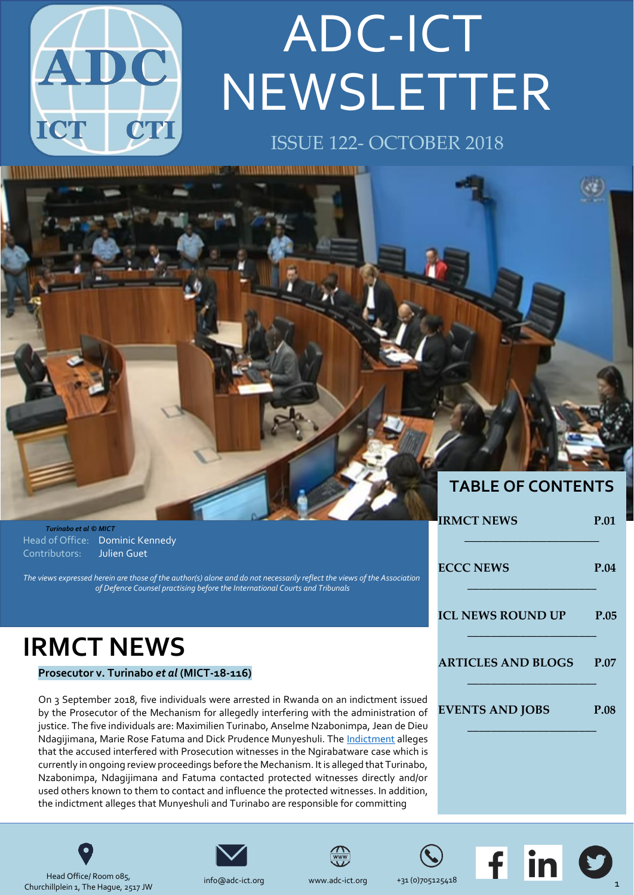

# NEWSLETTER ADC-ICT

### ISSUE 122- OCTOBER 2018

1999 - Paris Andrews House, American Andrews A. (2014) ,,,,,,,,,,,,,,,,,,,,,,,,,,,,,,,,,



|                                                                                                                                                                                                        | <b>IRMCT NEWS</b>         | P.01        |
|--------------------------------------------------------------------------------------------------------------------------------------------------------------------------------------------------------|---------------------------|-------------|
| Turinabo et al © MICT                                                                                                                                                                                  |                           |             |
| Head of Office: Dominic Kennedy                                                                                                                                                                        |                           |             |
| Julien Guet<br>Contributors:                                                                                                                                                                           |                           |             |
|                                                                                                                                                                                                        | <b>ECCC NEWS</b>          | P.04        |
| The views expressed herein are those of the author(s) alone and do not necessarily reflect the views of the Association<br>of Defence Counsel practising before the International Courts and Tribunals |                           |             |
|                                                                                                                                                                                                        | <b>ICL NEWS ROUND UP</b>  | P.05        |
|                                                                                                                                                                                                        |                           |             |
| <b>IRMCT NEWS</b>                                                                                                                                                                                      |                           |             |
| Prosecutor v. Turinabo et al (MICT-18-116)                                                                                                                                                             | <b>ARTICLES AND BLOGS</b> | <b>P.07</b> |
| On 3 September 2018, five individuals were arrested in Rwanda on an indictment issued                                                                                                                  |                           |             |
| by the Prosecutor of the Mechanism for allegedly interfering with the administration of                                                                                                                | <b>EVENTS AND JOBS</b>    | P.08        |
| justice. The five individuals are: Maximilien Turinabo, Anselme Nzabonimpa, Jean de Dieu                                                                                                               |                           |             |
| Ndagjijmana. Marie Rose Fatuma and Dick Prudence Munyeshuli. The Indictment alleges                                                                                                                    |                           |             |

Ndagijimana, Marie Rose Fatuma and Dick Prudence Munyeshuli. The that the accused interfered with Prosecution witnesses in the Ngirabatware case which is currently in ongoing review proceedings before the Mechanism. It is alleged that Turinabo, Nzabonimpa, Ndagijimana and Fatuma contacted protected witnesses directly and/or used others known to them to contact and influence the protected witnesses. In addition, the indictment alleges that Munyeshuli and Turinabo are responsible for committing



Head Office/ Room 085, Churchillplein 1, The Hague, 2517 JW







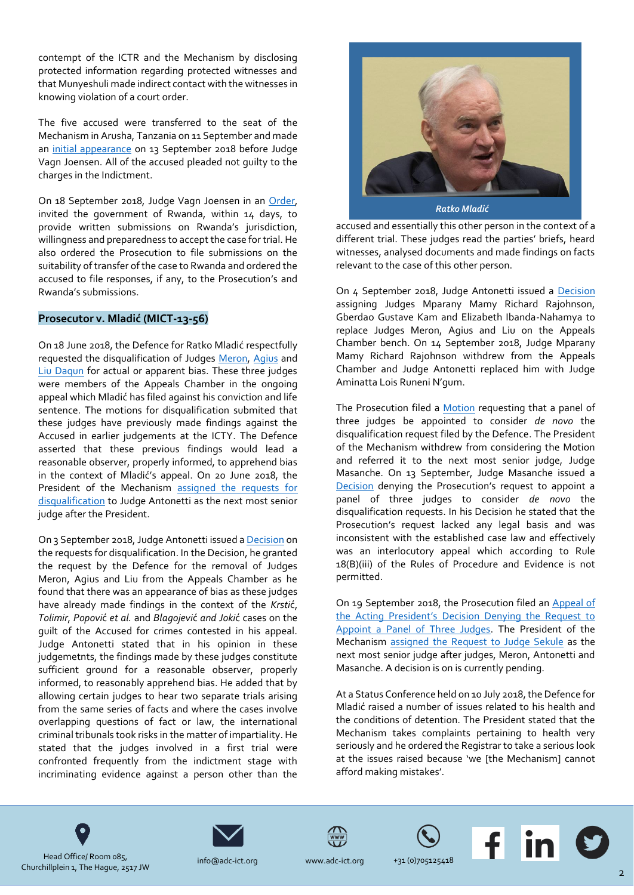contempt of the ICTR and the Mechanism by disclosing protected information regarding protected witnesses and that Munyeshuli made indirect contact with the witnesses in knowing violation of a court order.

The five accused were transferred to the seat of the Mechanism in Arusha, Tanzania on 11 September and made an [initial appearance](https://www.youtube.com/watch?v=CpkpPDwEWsc) on 13 September 2018 before Judge Vagn Joensen. All of the accused pleaded not guilty to the charges in the Indictment.

On 18 September 2018, Judge Vagn Joensen in an [Order,](http://jrad.unmict.org/webdrawer/webdrawer.dll/webdrawer/rec/242188/view/) invited the government of Rwanda, within 14 days, to provide written submissions on Rwanda's jurisdiction, willingness and preparedness to accept the case for trial. He also ordered the Prosecution to file submissions on the suitability of transfer of the case to Rwanda and ordered the accused to file responses, if any, to the Prosecution's and Rwanda's submissions.

#### **Prosecutor v. Mladić (MICT-13-56)**

On 18 June 2018, the Defence for Ratko Mladić respectfully requested the disqualification of Judges [Meron,](http://jrad.unmict.org/webdrawer/webdrawer.dll/webdrawer/rec/241584/view/) [Agius](http://jrad.unmict.org/webdrawer/webdrawer.dll/webdrawer/rec/241586/view/) and [Liu Daqun](http://jrad.unmict.org/webdrawer/webdrawer.dll/webdrawer/rec/241585/view/) for actual or apparent bias. These three judges were members of the Appeals Chamber in the ongoing appeal which Mladić has filed against his conviction and life sentence. The motions for disqualification submited that these judges have previously made findings against the Accused in earlier judgements at the ICTY. The Defence asserted that these previous findings would lead a reasonable observer, properly informed, to apprehend bias in the context of Mladić's appeal. On 20 June 2018, the President of the Mechanism [assigned the requests for](http://jrad.unmict.org/webdrawer/webdrawer.dll/webdrawer/rec/241629/view/)  [disqualification](http://jrad.unmict.org/webdrawer/webdrawer.dll/webdrawer/rec/241629/view/) to Judge Antonetti as the next most senior judge after the President.

On 3 September 2018, Judge Antonetti issued [a Decision](http://jrad.unmict.org/webdrawer/webdrawer.dll/webdrawer/rec/242225/view/) on the requests for disqualification. In the Decision, he granted the request by the Defence for the removal of Judges Meron, Agius and Liu from the Appeals Chamber as he found that there was an appearance of bias as these judges have already made findings in the context of the *Krsti*ć, *Tolimir*, *Popovi*ć *et al.* and *Blagojevi*ć *and Joki*ć cases on the guilt of the Accused for crimes contested in his appeal. Judge Antonetti stated that in his opinion in these judgemetnts, the findings made by these judges constitute sufficient ground for a reasonable observer, properly informed, to reasonably apprehend bias. He added that by allowing certain judges to hear two separate trials arising from the same series of facts and where the cases involve overlapping questions of fact or law, the international criminal tribunals took risks in the matter of impartiality. He stated that the judges involved in a first trial were confronted frequently from the indictment stage with incriminating evidence against a person other than the



*Ratko Mladić*

accused and essentially this other person in the context of a different trial. These judges read the parties' briefs, heard witnesses, analysed documents and made findings on facts relevant to the case of this other person.

On 4 September 2018, Judge Antonetti issued a [Decision](http://jrad.unmict.org/webdrawer/webdrawer.dll/webdrawer/rec/242094/view/) assigning Judges Mparany Mamy Richard Rajohnson, Gberdao Gustave Kam and Elizabeth Ibanda-Nahamya to replace Judges Meron, Agius and Liu on the Appeals Chamber bench. On 14 September 2018, Judge Mparany Mamy Richard Rajohnson withdrew from the Appeals Chamber and Judge Antonetti replaced him with Judge Aminatta Lois Runeni N'gum.

The Prosecution filed a [Motion](http://jrad.unmict.org/webdrawer/webdrawer.dll/webdrawer/rec/242105/view/) requesting that a panel of three judges be appointed to consider *de novo* the disqualification request filed by the Defence. The President of the Mechanism withdrew from considering the Motion and referred it to the next most senior judge, Judge Masanche. On 13 September, Judge Masanche issued a [Decision](http://jrad.unmict.org/webdrawer/webdrawer.dll/webdrawer/rec/242144/view/) denying the Prosecution's request to appoint a panel of three judges to consider *de novo* the disqualification requests. In his Decision he stated that the Prosecution's request lacked any legal basis and was inconsistent with the established case law and effectively was an interlocutory appeal which according to Rule 18(B)(iii) of the Rules of Procedure and Evidence is not permitted.

On 19 September 2018, the Prosecution filed a[n Appeal of](http://jrad.unmict.org/webdrawer/webdrawer.dll/webdrawer/rec/242223/view/)  [the Acting President's Decision Denying the Request to](http://jrad.unmict.org/webdrawer/webdrawer.dll/webdrawer/rec/242223/view/)  [Appoint a Panel of Three Judges.](http://jrad.unmict.org/webdrawer/webdrawer.dll/webdrawer/rec/242223/view/) The President of the Mechanism [assigned the Request to Judge Sekule](http://jrad.unmict.org/webdrawer/webdrawer.dll/webdrawer/rec/242263/view/) as the next most senior judge after judges, Meron, Antonetti and Masanche. A decision is on is currently pending.

At a Status Conference held on 10 July 2018, the Defence for Mladić raised a number of issues related to his health and the conditions of detention. The President stated that the Mechanism takes complaints pertaining to health very seriously and he ordered the Registrar to take a serious look at the issues raised because 'we [the Mechanism] cannot afford making mistakes'.









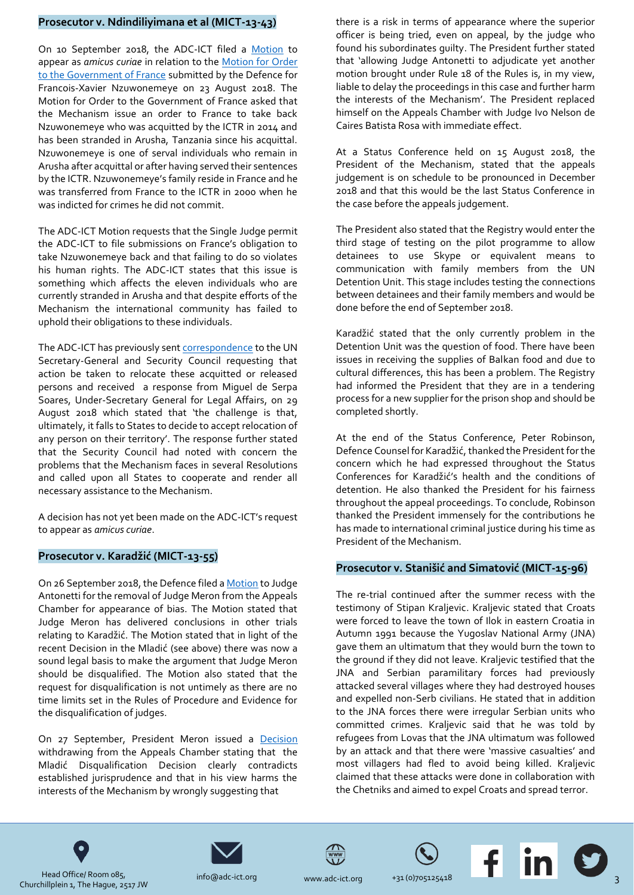#### **Prosecutor v. Ndindiliyimana et al (MICT-13-43)**

On 10 September 2018, the ADC-ICT filed a [Motion](http://jrad.unmict.org/webdrawer/webdrawer.dll/webdrawer/rec/242117/view/) to appear as *amicus curiae* in relation to the [Motion for Order](http://jrad.unmict.org/webdrawer/webdrawer.dll/webdrawer/rec/242053/view/)  [to the Government of France](http://jrad.unmict.org/webdrawer/webdrawer.dll/webdrawer/rec/242053/view/) submitted by the Defence for Francois-Xavier Nzuwonemeye on 23 August 2018. The Motion for Order to the Government of France asked that the Mechanism issue an order to France to take back Nzuwonemeye who was acquitted by the ICTR in 2014 and has been stranded in Arusha, Tanzania since his acquittal. Nzuwonemeye is one of serval individuals who remain in Arusha after acquittal or after having served their sentences by the ICTR. Nzuwonemeye's family reside in France and he was transferred from France to the ICTR in 2000 when he was indicted for crimes he did not commit.

The ADC-ICT Motion requests that the Single Judge permit the ADC-ICT to file submissions on France's obligation to take Nzuwonemeye back and that failing to do so violates his human rights. The ADC-ICT states that this issue is something which affects the eleven individuals who are currently stranded in Arusha and that despite efforts of the Mechanism the international community has failed to uphold their obligations to these individuals.

The ADC-ICT has previously sen[t correspondence](https://www.adc-ict.org/single-post/2018/03/22/ADC-ICT-Send-Letter-to-UN-Secretary-General-and-Security-Council-regarding-ICTR-Acquitted-and-Released-Persons) to the UN Secretary-General and Security Council requesting that action be taken to relocate these acquitted or released persons and received a response from Miguel de Serpa Soares, Under-Secretary General for Legal Affairs, on 29 August 2018 which stated that 'the challenge is that, ultimately, it falls to States to decide to accept relocation of any person on their territory'. The response further stated that the Security Council had noted with concern the problems that the Mechanism faces in several Resolutions and called upon all States to cooperate and render all necessary assistance to the Mechanism.

A decision has not yet been made on the ADC-ICT's request to appear as *amicus curiae*.

#### **Prosecutor v. Karadžić (MICT-13-55)**

On 26 September 2018, the Defence filed [a Motion](http://jrad.unmict.org/webdrawer/webdrawer.dll/webdrawer/rec/242268/view/DFsV2g) to Judge Antonetti for the removal of Judge Meron from the Appeals Chamber for appearance of bias. The Motion stated that Judge Meron has delivered conclusions in other trials relating to Karadžić. The Motion stated that in light of the recent Decision in the Mladić (see above) there was now a sound legal basis to make the argument that Judge Meron should be disqualified. The Motion also stated that the request for disqualification is not untimely as there are no time limits set in the Rules of Procedure and Evidence for the disqualification of judges.

On 27 September, President Meron issued a [Decision](http://www.irmct.org/sites/default/files/casedocuments/mict-13-55/president%E2%80%99s-decisions/en/180927-decision-karadzic.pdf) withdrawing from the Appeals Chamber stating that the Mladić Disqualification Decision clearly contradicts established jurisprudence and that in his view harms the interests of the Mechanism by wrongly suggesting that

there is a risk in terms of appearance where the superior officer is being tried, even on appeal, by the judge who found his subordinates guilty. The President further stated that 'allowing Judge Antonetti to adjudicate yet another motion brought under Rule 18 of the Rules is, in my view, liable to delay the proceedings in this case and further harm the interests of the Mechanism'. The President replaced himself on the Appeals Chamber with Judge Ivo Nelson de Caires Batista Rosa with immediate effect.

At a Status Conference held on 15 August 2018, the President of the Mechanism, stated that the appeals judgement is on schedule to be pronounced in December 2018 and that this would be the last Status Conference in the case before the appeals judgement.

The President also stated that the Registry would enter the third stage of testing on the pilot programme to allow detainees to use Skype or equivalent means to communication with family members from the UN Detention Unit. This stage includes testing the connections between detainees and their family members and would be done before the end of September 2018.

Karadžić stated that the only currently problem in the Detention Unit was the question of food. There have been issues in receiving the supplies of Balkan food and due to cultural differences, this has been a problem. The Registry had informed the President that they are in a tendering process for a new supplier for the prison shop and should be completed shortly.

At the end of the Status Conference, Peter Robinson, Defence Counsel for Karadžić, thanked the President for the concern which he had expressed throughout the Status Conferences for Karadžić's health and the conditions of detention. He also thanked the President for his fairness throughout the appeal proceedings. To conclude, Robinson thanked the President immensely for the contributions he has made to international criminal justice during his time as President of the Mechanism.

#### **Prosecutor v. Stanišić and Simatović (MICT-15-96)**

The re-trial continued after the summer recess with the testimony of Stipan Kraljevic. Kraljevic stated that Croats were forced to leave the town of Ilok in eastern Croatia in Autumn 1991 because the Yugoslav National Army (JNA) gave them an ultimatum that they would burn the town to the ground if they did not leave. Kraljevic testified that the JNA and Serbian paramilitary forces had previously attacked several villages where they had destroyed houses and expelled non-Serb civilians. He stated that in addition to the JNA forces there were irregular Serbian units who committed crimes. Kraljevic said that he was told by refugees from Lovas that the JNA ultimatum was followed by an attack and that there were 'massive casualties' and most villagers had fled to avoid being killed. Kraljevic claimed that these attacks were done in collaboration with the Chetniks and aimed to expel Croats and spread terror.











Head Office/ Room 085, Churchillplein 1, The Hague, 2517 JW

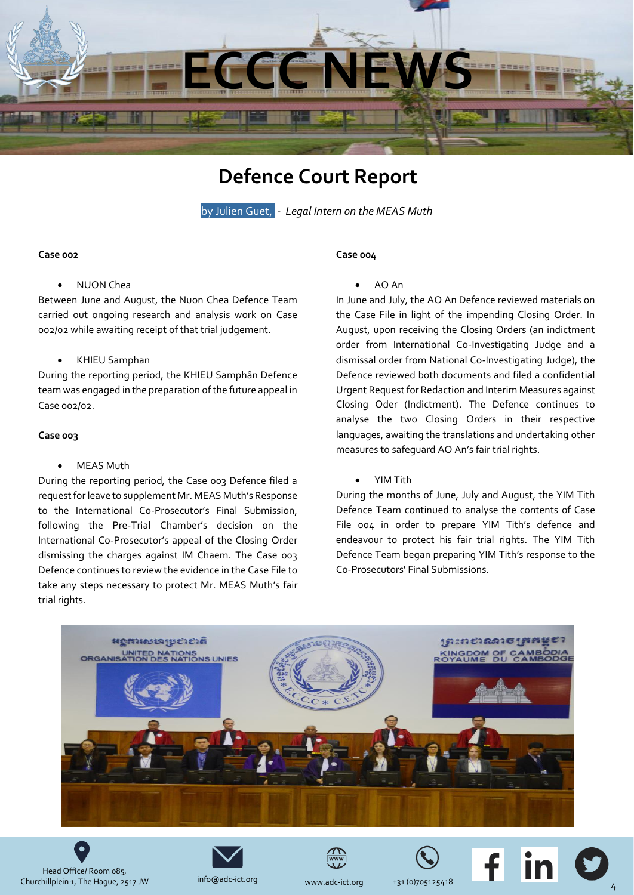

### **Defence Court Report**

by Julien Guet, *- Legal Intern on the MEAS Muth*

#### <span id="page-3-0"></span>**Case 002**

#### • NUON Chea

Between June and August, the Nuon Chea Defence Team carried out ongoing research and analysis work on Case 002/02 while awaiting receipt of that trial judgement.

#### • KHIEU Samphan

During the reporting period, the KHIEU Samphân Defence team was engaged in the preparation of the future appeal in Case 002/02.

#### **Case 003**

#### **MEAS Muth**

During the reporting period, the Case 003 Defence filed a request for leave to supplement Mr. MEAS Muth's Response to the International Co-Prosecutor's Final Submission, following the Pre-Trial Chamber's decision on the International Co-Prosecutor's appeal of the Closing Order dismissing the charges against IM Chaem. The Case 003 Defence continues to review the evidence in the Case File to take any steps necessary to protect Mr. MEAS Muth's fair trial rights.

#### **Case 004**

#### • AO An

In June and July, the AO An Defence reviewed materials on the Case File in light of the impending Closing Order. In August, upon receiving the Closing Orders (an indictment order from International Co-Investigating Judge and a dismissal order from National Co-Investigating Judge), the Defence reviewed both documents and filed a confidential Urgent Request for Redaction and Interim Measures against Closing Oder (Indictment). The Defence continues to analyse the two Closing Orders in their respective languages, awaiting the translations and undertaking other measures to safeguard AO An's fair trial rights.

• YIM Tith

During the months of June, July and August, the YIM Tith Defence Team continued to analyse the contents of Case File 004 in order to prepare YIM Tith's defence and endeavour to protect his fair trial rights. The YIM Tith Defence Team began preparing YIM Tith's response to the Co-Prosecutors' Final Submissions.













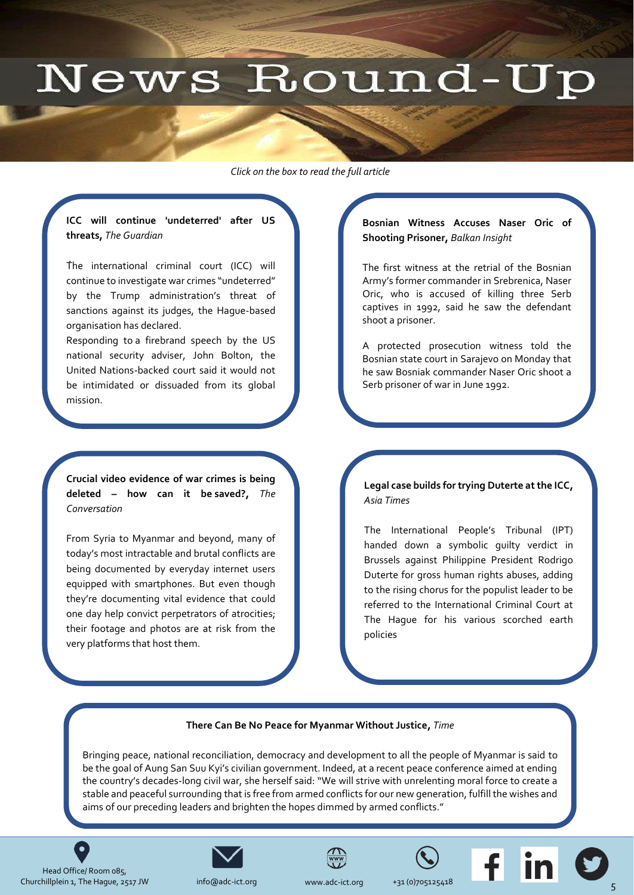## News Round-Up

<span id="page-4-0"></span>*Click on the box to read the full article* 

#### **ICC will continue 'undeterred' after US threats,** *The Guardian*

. The international criminal court (ICC) will continue to investigate war crimes "undeterred" by the Trump administration's threat of [sanctions against its judges, the Hague-based](https://www.theguardian.com/law/2018/sep/11/icc-will-continue-undeterred-after-us-threats-john-bolton)  organisation has declared.

Responding to [a firebrand speech by the US](https://www.theguardian.com/us-news/2018/sep/10/john-bolton-castigate-icc-washington-speech)  [national security adviser, John Bolton,](https://www.theguardian.com/us-news/2018/sep/10/john-bolton-castigate-icc-washington-speech) the United Nations-backed court said it would not be intimidated or dissuaded from its global mission.

**Crucial video evidence of war crimes is being deleted – how can it be saved?,** *The Conversation*

From Syria to Myanmar and beyond, many of today's most intractable and brutal conflicts are [being documented by everyday internet users](http://theconversation.com/crucial-video-evidence-of-war-crimes-is-being-deleted-how-can-it-be-saved-103178)  equipped with smartphones. But even though they're documenting vital evidence that could one day help convict perpetrators of atrocities; their footage and photos are at risk from the very platforms that host them.

#### **Bosnian Witness Accuses Naser Oric of Shooting Prisoner,** *Balkan Insight*

The first witness at the retrial of the Bosnian Army's former commander in Srebrenica, Naser [Oric, who is accused of killing three Serb](http://www.balkaninsight.com/en/article/bosnian-witness-accuses-naser-oric-of-shooting-prisoner-09-24-2018)  captives in 1992, said he saw the defendant shoot a prisoner.

A protected prosecution witness told the Bosnian state court in Sarajevo on Monday that he saw Bosniak commander Naser Oric shoot a Serb prisoner of war in June 1992.

**[Legal case builds for trying Duterte at the ICC,](http://www.atimes.com/article/legal-case-builds-for-trying-duterte-at-the-icc/)**  *Asia Times*

The International People's Tribunal (IPT) handed down a symbolic guilty verdict in Brussels against Philippine President Rodrigo Duterte for gross human rights abuses, adding to the rising chorus for the populist leader to be referred to the International Criminal Court at The Hague for his various scorched earth policies

#### **There Can Be No Peace for Myanmar Without Justice,** *Time*

[Bringing peace, national reconciliation, democracy and development to all the people of Myanmar is said to](http://time.com/5404328/myanmar-accountability-yanghee-lee/)  be the goal of Aung San Suu Kyi's civilian government. Indeed, at a recent peace conference aimed at ending the country's decades-long civil war, she herself said: "We will strive with unrelenting moral force to create a stable and peaceful surrounding that is free from armed conflicts for our new generation, fulfill the wishes and aims of our preceding leaders and brighten the hopes dimmed by armed conflicts."

Head Office/ Room 085, Churchillplein 1, The Hague, 2517 JW info@adc-ict.org [www.adc-](mailto:dkennedy@icty.org)ict.org +31 (0)705125418

 $\bullet$ 

.



[info@adc-](mailto:dkennedy@icty.org)ict.org







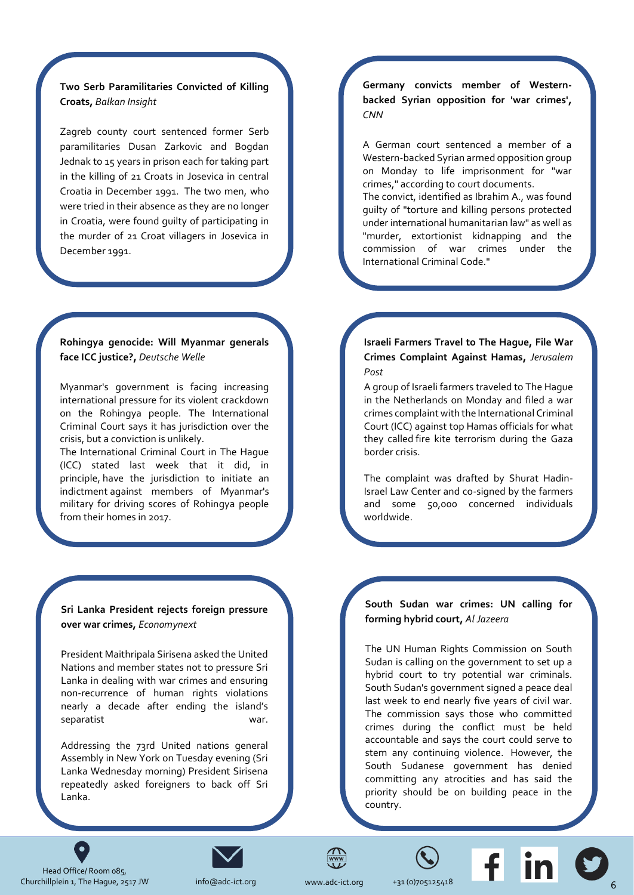#### **Two Serb Paramilitaries Convicted of Killing Croats,** *Balkan Insight*

[Zagreb county court sentenced former Serb](http://www.balkaninsight.com/en/article/zagreb-court-sentenced-two-serb-paramilitaries-09-17-2018)  paramilitaries Dusan Zarkovic and Bogdan Jednak to 15 years in prison each for taking part in the killing of 21 Croats in Josevica in central Croatia in December 1991. The two men, who were tried in their absence as they are no longer in Croatia, were found guilty of participating in the murder of 21 Croat villagers in Josevica in December 1991.

#### **Rohingya genocide: Will Myanmar generals face ICC justice?,** *Deutsche Welle*

Myanmar's government is facing increasing international pressure for its violent crackdown on the Rohingya people. The International [Criminal Court says it has jurisdiction over the](https://www.dw.com/en/rohingya-genocide-will-myanmar-generals-face-icc-justice/a-45450020)  crisis, but a conviction is unlikely.

The International Criminal Court in The Hague (ICC) stated last week that it did, in principle, [have the jurisdiction to](https://www.dw.com/en/icc-says-can-rule-on-rohingya-exodus-from-myanmar/a-45391172) initiate an [indictment](https://www.dw.com/en/icc-says-can-rule-on-rohingya-exodus-from-myanmar/a-45391172) against members of Myanmar's military for driving scores of Rohingya people from their homes in 2017.

**Sri Lanka President rejects foreign pressure over war crimes,** *Economynext*

President Maithripala Sirisena asked the United Nations and member states not to pressure Sri Lanka in dealing with war crimes and ensuring [non-recurrence of human rights violations](https://economynext.com/Sri_Lanka_President_rejects_foreign_pressure_over_war_crimes-3-12014.html)  nearly a decade after ending the island's separatist war.

Addressing the 73rd United nations general Assembly in New York on Tuesday evening (Sri Lanka Wednesday morning) President Sirisena repeatedly asked foreigners to back off Sri Lanka.

**Germany convicts member of Western[backed Syrian opposition for 'war crimes',](https://edition.cnn.com/2018/09/25/middleeast/german-syrian-conviction-intl/index.html)**  *CNN*

A German court sentenced a member of a Western-backed Syrian armed opposition group on Monday to life imprisonment for "war crimes," according to court documents.

The convict, identified as Ibrahim A., was found guilty of "torture and killing persons protected under international humanitarian law" as well as "murder, extortionist kidnapping and the commission of war crimes under the International Criminal Code."

#### **[Israeli Farmers Travel to The Hague, File War](https://www.jpost.com/Arab-Israeli-Conflict/Shurat-Hadin-files-war-crimes-complaint-against-Hamas-for-fire-kite-terror-566370)  Crimes Complaint Against Hamas,** *Jerusalem Post*

A group of Israeli farmers traveled to The Hague in the Netherlands on Monday and filed a war crimes complaint with the International Criminal Court (ICC) against top Hamas officials for what they called [fire kite terrorism during the Gaza](https://www.jpost.com/Israel-News/A-quiet-but-tense-day-along-the-Gaza-border-562607)  [border crisis.](https://www.jpost.com/Israel-News/A-quiet-but-tense-day-along-the-Gaza-border-562607)

The complaint was drafted by Shurat Hadin-Israel Law Center and co-signed by the farmers and some 50,000 concerned individuals worldwide.

#### **South Sudan war crimes: UN calling for forming hybrid court,** *Al Jazeera*

The UN Human Rights Commission on South Sudan is calling on the government to set up a hybrid court to try potential war criminals. [South Sudan's government signed a peace deal](https://www.aljazeera.com/news/2018/09/south-sudan-war-crimes-calling-forming-hybrid-court-180917183035089.html)  last week to end nearly five years of civil war. The commission says those who committed crimes during the conflict must be held accountable and says the court could serve to stem any continuing violence. However, the South Sudanese government has denied committing any atrocities and has said the priority should be on building peace in the country.

Head Office/ Room 085, Churchillplein 1, The Hague, 2517 JW info@adc-ict.org [www.adc-](mailto:dkennedy@icty.org)ict.org +31 (0)705125418

 $\bullet$ 



[info@adc-](mailto:dkennedy@icty.org)ict.org

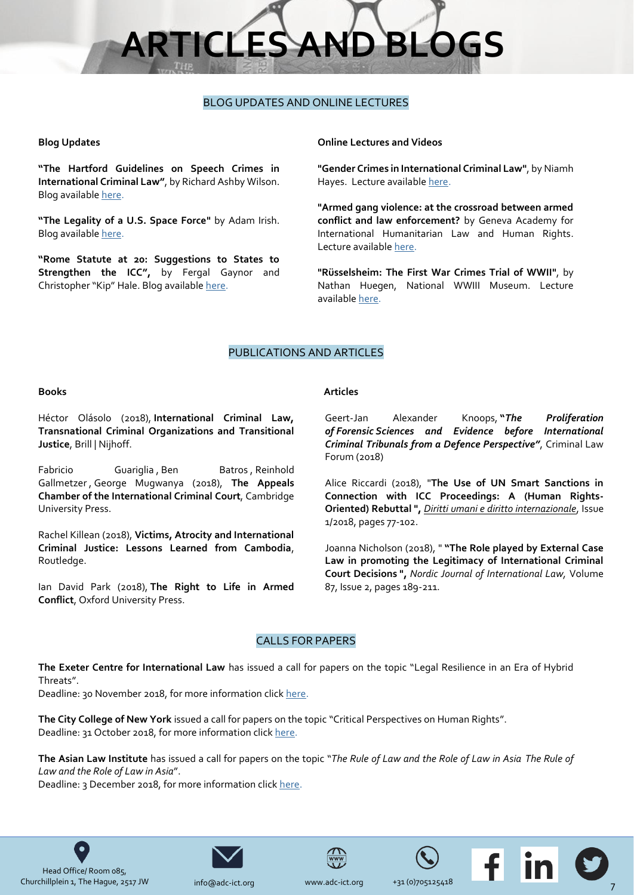# **RTICLES AND BLC**

#### BLOG UPDATES AND ONLINE LECTURES

#### <span id="page-6-0"></span>**Blog Updates**

**"[The Hartford Guidelines on Speech Crimes in](https://www.ejiltalk.org/the-hartford-guidelines-on-speech-crimes-in-international-criminal-law/)  [International Criminal Law](https://www.ejiltalk.org/the-hartford-guidelines-on-speech-crimes-in-international-criminal-law/)"**, b[y Richard Ashby Wilson.](https://www.ejiltalk.org/author/rwilson/) Blog available [here.](https://www.ejiltalk.org/the-hartford-guidelines-on-speech-crimes-in-international-criminal-law/)

**"The Legality of a U.S. Space Force"** by Adam Irish. Blog availabl[e here.](http://opiniojuris.org/2018/09/13/the-legality-of-a-u-s-space-force/)

**"[Rome Statute at 20: Suggestions to States to](https://www.ejiltalk.org/rome-statute-at-20-suggestions-to-states-to-strengthen-the-icc/)  [Strengthen the ICC](https://www.ejiltalk.org/rome-statute-at-20-suggestions-to-states-to-strengthen-the-icc/)",** by Fergal Gaynor and Christopher "Kip" Hale. Blog availabl[e here.](https://www.ejiltalk.org/rome-statute-at-20-suggestions-to-states-to-strengthen-the-icc/)

#### **Online Lectures and Videos**

**"Gender Crimes in International Criminal Law"**, by Niamh Hayes. Lecture availabl[e here.](http://adc.thinkific.com/)

**"Armed gang violence: at the crossroad between armed conflict and law enforcement?** by Geneva Academy for International Humanitarian Law and Human Rights. Lecture availabl[e here.](https://www.youtube.com/watch?v=zWYOPCwQ5zQ)

**"Rüsselsheim: The First War Crimes Trial of WWII"**, by Nathan Huegen, National WWIII Museum. Lecture available [here.](https://www.youtube.com/watch?v=IuRDddLL6VE)

#### PUBLICATIONS AND ARTICLES

#### **Books**

Héctor Olásolo (2018), **International Criminal Law, Transnational Criminal Organizations and Transitional Justice**, Brill | Nijhoff.

[Fabricio Guariglia](https://www.cambridge.org/core/search?filters%5BauthorTerms%5D=Fabricio%20Guariglia&eventCode=SE-AU) , [Ben Batros](https://www.cambridge.org/core/search?filters%5BauthorTerms%5D=Ben%20Batros&eventCode=SE-AU) , Reinhold [Gallmetzer](https://www.cambridge.org/core/search?filters%5BauthorTerms%5D=Reinhold%20Gallmetzer&eventCode=SE-AU) , [George Mugwanya](https://www.cambridge.org/core/search?filters%5BauthorTerms%5D=George%20Mugwanya&eventCode=SE-AU) (2018), **The Appeals Chamber of the International Criminal Court**, Cambridge University Press.

[Rachel Killean](https://www.routledge.com/products/search?author=Rachel%20Killean) (2018), **Victims, Atrocity and International Criminal Justice: Lessons Learned from Cambodia**, Routledge.

Ian David Park (2018), **The Right to Life in Armed Conflict**, Oxford University Press.

#### **Articles**

Geert-Jan Alexander Knoops, **"***The Proliferation of Forensic Sciences and Evidence before International Criminal Tribunals from a Defence Perspective"*, Criminal Law Forum (2018)

Alice Riccardi (2018), "**[The Use of UN Smart Sanctions in](https://www.peacepalacelibrary.nl/scripts/to_opac.php?ppn=419025227&abo=xx)  [Connection with ICC Proceedings: A \(Human Rights-](https://www.peacepalacelibrary.nl/scripts/to_opac.php?ppn=419025227&abo=xx)[Oriented\) Rebuttal](https://www.peacepalacelibrary.nl/scripts/to_opac.php?ppn=419025227&abo=xx) ",** *[Diritti umani e diritto internazionale](https://www.rivisteweb.it/issn/1971-7105)*, Issue 1/2018, pages 77-102.

Joanna Nicholson (2018), " **"The Role played by External Case Law in promoting the Legitimacy of International Criminal Court Decisions ",** *Nordic Journal of International Law,* Volume 87, Issue 2, pages 189-211.

#### CALLS FOR PAPERS

**The Exeter Centre for International Law** has issued a call for papers on the topic "Legal Resilience in an Era of Hybrid Threats".

Deadline: 30 November 2018, for more information click [here.](http://www.legalresilience.co.uk/)

**The City College of New York** issued a call for papers on the topic "Critical Perspectives on Human Rights". Deadline: 31 October 2018, for more information click [here.](http://www.humanrightsccny.org/cphr-conference/)

**The Asian Law Institute** has issued a call for papers on the topic "*The Rule of Law and the Role of Law in Asia The Rule of Law and the Role of Law in Asia*".

Deadline: 3 December 2018, for more information click [here.](https://law.nus.edu.sg/asli/16th_asli_conf/call_for_papers.html)





[info@adc-](mailto:dkennedy@icty.org)ict.org